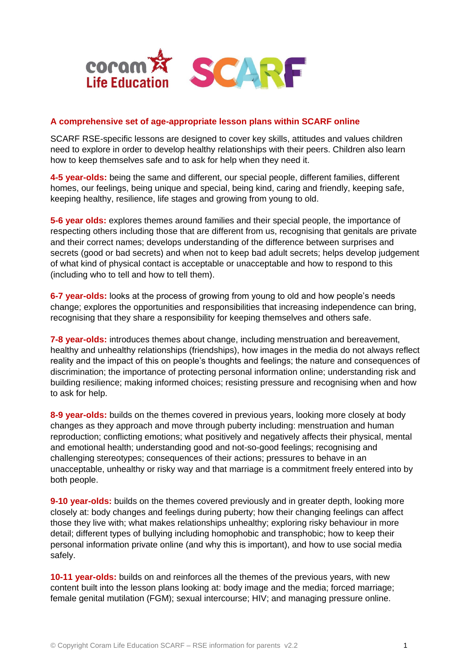

### **A comprehensive set of age-appropriate lesson plans within SCARF online**

SCARF RSE-specific lessons are designed to cover key skills, attitudes and values children need to explore in order to develop healthy relationships with their peers. Children also learn how to keep themselves safe and to ask for help when they need it.

**4-5 year-olds:** being the same and different, our special people, different families, different homes, our feelings, being unique and special, being kind, caring and friendly, keeping safe, keeping healthy, resilience, life stages and growing from young to old.

**5-6 year olds:** explores themes around families and their special people, the importance of respecting others including those that are different from us, recognising that genitals are private and their correct names; develops understanding of the difference between surprises and secrets (good or bad secrets) and when not to keep bad adult secrets; helps develop judgement of what kind of physical contact is acceptable or unacceptable and how to respond to this (including who to tell and how to tell them).

**6-7 year-olds:** looks at the process of growing from young to old and how people's needs change; explores the opportunities and responsibilities that increasing independence can bring, recognising that they share a responsibility for keeping themselves and others safe.

**7-8 year-olds:** introduces themes about change, including menstruation and bereavement, healthy and unhealthy relationships (friendships), how images in the media do not always reflect reality and the impact of this on people's thoughts and feelings; the nature and consequences of discrimination; the importance of protecting personal information online; understanding risk and building resilience; making informed choices; resisting pressure and recognising when and how to ask for help.

**8-9 year-olds:** builds on the themes covered in previous years, looking more closely at body changes as they approach and move through puberty including: menstruation and human reproduction; conflicting emotions; what positively and negatively affects their physical, mental and emotional health; understanding good and not-so-good feelings; recognising and challenging stereotypes; consequences of their actions; pressures to behave in an unacceptable, unhealthy or risky way and that marriage is a commitment freely entered into by both people.

**9-10 year-olds:** builds on the themes covered previously and in greater depth, looking more closely at: body changes and feelings during puberty; how their changing feelings can affect those they live with; what makes relationships unhealthy; exploring risky behaviour in more detail; different types of bullying including homophobic and transphobic; how to keep their personal information private online (and why this is important), and how to use social media safely.

**10-11 year-olds:** builds on and reinforces all the themes of the previous years, with new content built into the lesson plans looking at: body image and the media; forced marriage; female genital mutilation (FGM); sexual intercourse; HIV; and managing pressure online.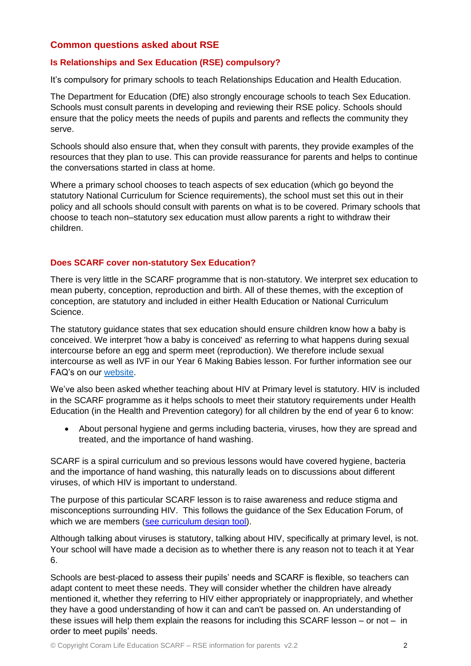# **Common questions asked about RSE**

# **Is Relationships and Sex Education (RSE) compulsory?**

It's compulsory for primary schools to teach Relationships Education and Health Education.

The Department for Education (DfE) also strongly encourage schools to teach Sex Education. Schools must consult parents in developing and reviewing their RSE policy. Schools should ensure that the policy meets the needs of pupils and parents and reflects the community they serve.

Schools should also ensure that, when they consult with parents, they provide examples of the resources that they plan to use. This can provide reassurance for parents and helps to continue the conversations started in class at home.

Where a primary school chooses to teach aspects of sex education (which go beyond the statutory National Curriculum for Science requirements), the school must set this out in their policy and all schools should consult with parents on what is to be covered. Primary schools that choose to teach non–statutory sex education must allow parents a right to withdraw their children.

## **Does SCARF cover non-statutory Sex Education?**

There is very little in the SCARF programme that is non-statutory. We interpret sex education to mean puberty, conception, reproduction and birth. All of these themes, with the exception of conception, are statutory and included in either Health Education or National Curriculum Science.

The statutory guidance states that sex education should ensure children know how a baby is conceived. We interpret 'how a baby is conceived' as referring to what happens during sexual intercourse before an egg and sperm meet (reproduction). We therefore include sexual intercourse as well as IVF in our Year 6 Making Babies lesson. For further information see our FAQ's on our [website.](https://www.coramlifeeducation.org.uk/downloads/FAQsforRSE-in-depthanswersandguidanceFINALOctober42019.pdf)

We've also been asked whether teaching about HIV at Primary level is statutory. HIV is included in the SCARF programme as it helps schools to meet their statutory requirements under Health Education (in the Health and Prevention category) for all children by the end of year 6 to know:

 About personal hygiene and germs including bacteria, viruses, how they are spread and treated, and the importance of hand washing.

SCARF is a spiral curriculum and so previous lessons would have covered hygiene, bacteria and the importance of hand washing, this naturally leads on to discussions about different viruses, of which HIV is important to understand.

The purpose of this particular SCARF lesson is to raise awareness and reduce stigma and misconceptions surrounding HIV. This follows the guidance of the Sex Education Forum, of which we are members [\(see curriculum design tool\)](https://www.sexeducationforum.org.uk/sites/default/files/field/attachment/SEF_Curriculum%20Design%202018.pdf).

Although talking about viruses is statutory, talking about HIV, specifically at primary level, is not. Your school will have made a decision as to whether there is any reason not to teach it at Year 6.

Schools are best-placed to assess their pupils' needs and SCARF is flexible, so teachers can adapt content to meet these needs. They will consider whether the children have already mentioned it, whether they referring to HIV either appropriately or inappropriately, and whether they have a good understanding of how it can and can't be passed on. An understanding of these issues will help them explain the reasons for including this SCARF lesson – or not – in order to meet pupils' needs.